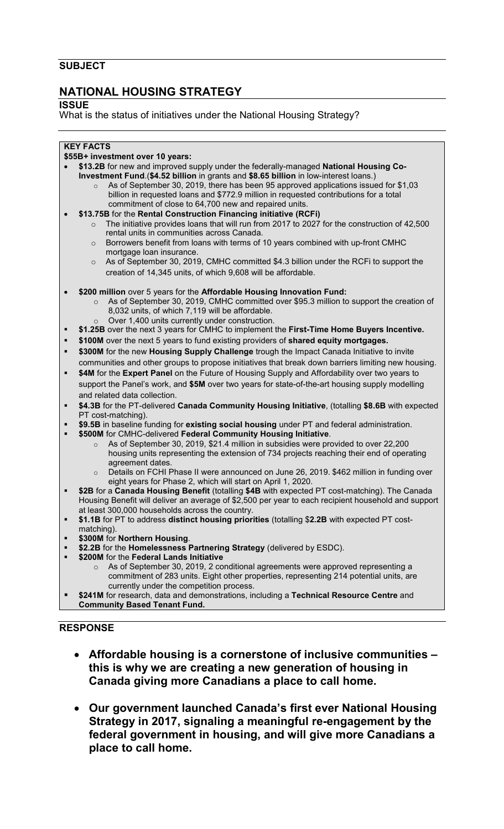### **SUBJECT**

# **NATIONAL HOUSING STRATEGY**

### **ISSUE**

What is the status of initiatives under the National Housing Strategy?

### **KEY FACTS**

#### **\$55B+ investment over 10 years:**

- **\$13.2B** for new and improved supply under the federally-managed **National Housing Co-Investment Fund**.(**\$4.52 billion** in grants and **\$8.65 billion** in low-interest loans.)
	- As of September 30, 2019, there has been 95 approved applications issued for \$1,03 billion in requested loans and \$772.9 million in requested contributions for a total commitment of close to 64,700 new and repaired units.
- **\$13.75B** for the **Rental Construction Financing initiative (RCFi)**
	- $\circ$  The initiative provides loans that will run from 2017 to 2027 for the construction of 42,500 rental units in communities across Canada.
	- $\circ$  Borrowers benefit from loans with terms of 10 years combined with up-front CMHC mortgage loan insurance.
	- $\circ$  As of September 30, 2019, CMHC committed \$4.3 billion under the RCFi to support the creation of 14,345 units, of which 9,608 will be affordable.
- **\$200 million** over 5 years for the **Affordable Housing Innovation Fund:**
	- o As of September 30, 2019, CMHC committed over \$95.3 million to support the creation of 8,032 units, of which 7,119 will be affordable.
		- Over 1,400 units currently under construction.
- **\$1.25B** over the next 3 years for CMHC to implement the **First-Time Home Buyers Incentive.**
- **\$100M** over the next 5 years to fund existing providers of **shared equity mortgages.**
- **\$300M** for the new **Housing Supply Challenge** trough the Impact Canada Initiative to invite communities and other groups to propose initiatives that break down barriers limiting new housing.
- **\$4M** for the **Expert Panel** on the Future of Housing Supply and Affordability over two years to support the Panel's work, and **\$5M** over two years for state-of-the-art housing supply modelling and related data collection.
- **\$4.3B** for the PT-delivered **Canada Community Housing Initiative**, (totalling **\$8.6B** with expected PT cost-matching).
- **\$9.5B** in baseline funding for **existing social housing** under PT and federal administration.
- **\$500M** for CMHC-delivered **Federal Community Housing Initiative**.
	- o As of September 30, 2019, \$21.4 million in subsidies were provided to over 22,200 housing units representing the extension of 734 projects reaching their end of operating agreement dates.
	- Details on FCHI Phase II were announced on June 26, 2019. \$462 million in funding over eight years for Phase 2, which will start on April 1, 2020.
- **\$2B** for a **Canada Housing Benefit** (totalling **\$4B** with expected PT cost-matching). The Canada Housing Benefit will deliver an average of \$2,500 per year to each recipient household and support at least 300,000 households across the country.
- **\$1.1B** for PT to address **distinct housing priorities** (totalling \$**2.2B** with expected PT costmatching).
- **\$300M** for **Northern Housing**.
- **\$2.2B** for the **Homelessness Partnering Strategy** (delivered by ESDC).
- **\$200M** for the **Federal Lands Initiative**
	- As of September 30, 2019, 2 conditional agreements were approved representing a commitment of 283 units. Eight other properties, representing 214 potential units, are currently under the competition process.
- **\$241M** for research, data and demonstrations, including a **Technical Resource Centre** and **Community Based Tenant Fund.**

## **RESPONSE**

- **Affordable housing is a cornerstone of inclusive communities this is why we are creating a new generation of housing in Canada giving more Canadians a place to call home.**
- **Our government launched Canada's first ever National Housing Strategy in 2017, signaling a meaningful re-engagement by the federal government in housing, and will give more Canadians a place to call home.**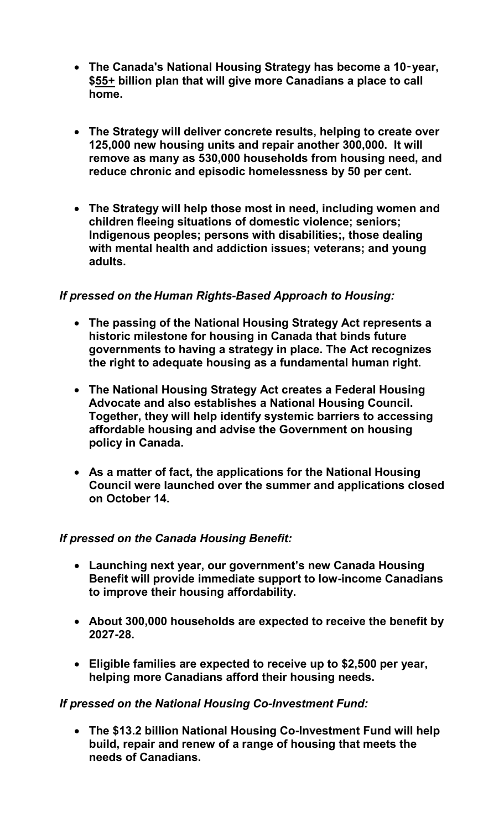- **The Canada's National Housing Strategy has become a 10**‑**year, \$55+ billion plan that will give more Canadians a place to call home.**
- **The Strategy will deliver concrete results, helping to create over 125,000 new housing units and repair another 300,000. It will remove as many as 530,000 households from housing need, and reduce chronic and episodic homelessness by 50 per cent.**
- **The Strategy will help those most in need, including women and children fleeing situations of domestic violence; seniors; Indigenous peoples; persons with disabilities;, those dealing with mental health and addiction issues; veterans; and young adults.**

# *If pressed on the Human Rights-Based Approach to Housing:*

- **The passing of the National Housing Strategy Act represents a historic milestone for housing in Canada that binds future governments to having a strategy in place. The Act recognizes the right to adequate housing as a fundamental human right.**
- **The National Housing Strategy Act creates a Federal Housing Advocate and also establishes a National Housing Council. Together, they will help identify systemic barriers to accessing affordable housing and advise the Government on housing policy in Canada.**
- **As a matter of fact, the applications for the National Housing Council were launched over the summer and applications closed on October 14.**

# *If pressed on the Canada Housing Benefit:*

- **Launching next year, our government's new Canada Housing Benefit will provide immediate support to low-income Canadians to improve their housing affordability.**
- **About 300,000 households are expected to receive the benefit by 2027-28.**
- **Eligible families are expected to receive up to \$2,500 per year, helping more Canadians afford their housing needs.**

# *If pressed on the National Housing Co-Investment Fund:*

• **The \$13.2 billion National Housing Co-Investment Fund will help build, repair and renew of a range of housing that meets the needs of Canadians.**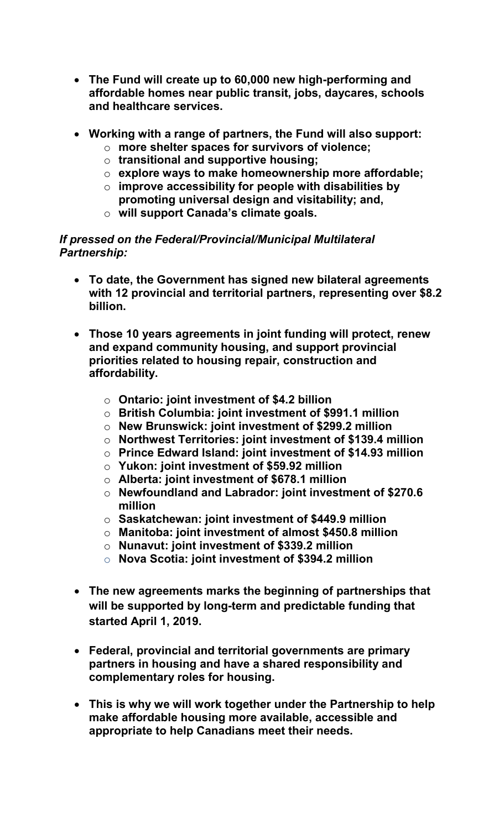- **The Fund will create up to 60,000 new high-performing and affordable homes near public transit, jobs, daycares, schools and healthcare services.**
- **Working with a range of partners, the Fund will also support:** 
	- o **more shelter spaces for survivors of violence;** 
		- o **transitional and supportive housing;**
		- o **explore ways to make homeownership more affordable;**
		- o **improve accessibility for people with disabilities by promoting universal design and visitability; and,**
		- o **will support Canada's climate goals.**

## *If pressed on the Federal/Provincial/Municipal Multilateral Partnership:*

- **To date, the Government has signed new bilateral agreements with 12 provincial and territorial partners, representing over \$8.2 billion.**
- **Those 10 years agreements in joint funding will protect, renew and expand community housing, and support provincial priorities related to housing repair, construction and affordability.**
	- o **Ontario: joint investment of \$4.2 billion**
	- o **British Columbia: joint investment of \$991.1 million**
	- o **New Brunswick: joint investment of \$299.2 million**
	- o **Northwest Territories: joint investment of \$139.4 million**
	- o **Prince Edward Island: joint investment of \$14.93 million**
	- o **Yukon: joint investment of \$59.92 million**
	- o **Alberta: joint investment of \$678.1 million**
	- o **Newfoundland and Labrador: joint investment of \$270.6 million**
	- o **Saskatchewan: joint investment of \$449.9 million**
	- o **Manitoba: joint investment of almost \$450.8 million**
	- o **Nunavut: joint investment of \$339.2 million**
	- o **Nova Scotia: joint investment of \$394.2 million**
- **The new agreements marks the beginning of partnerships that will be supported by long-term and predictable funding that started April 1, 2019.**
- **Federal, provincial and territorial governments are primary partners in housing and have a shared responsibility and complementary roles for housing.**
- **This is why we will work together under the Partnership to help make affordable housing more available, accessible and appropriate to help Canadians meet their needs.**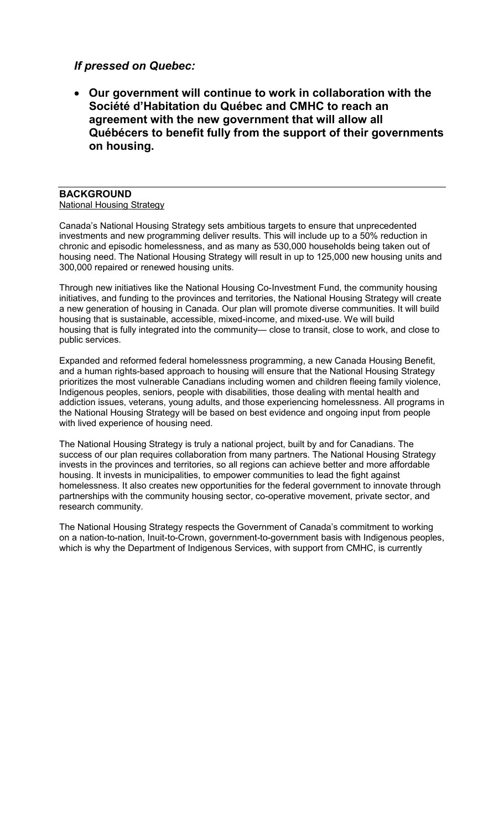## *If pressed on Quebec:*

• **Our government will continue to work in collaboration with the Société d'Habitation du Québec and CMHC to reach an agreement with the new government that will allow all Québécers to benefit fully from the support of their governments on housing.**

#### **BACKGROUND** National Housing Strategy

Canada's National Housing Strategy sets ambitious targets to ensure that unprecedented investments and new programming deliver results. This will include up to a 50% reduction in chronic and episodic homelessness, and as many as 530,000 households being taken out of housing need. The National Housing Strategy will result in up to 125,000 new housing units and 300,000 repaired or renewed housing units.

Through new initiatives like the National Housing Co-Investment Fund, the community housing initiatives, and funding to the provinces and territories, the National Housing Strategy will create a new generation of housing in Canada. Our plan will promote diverse communities. It will build housing that is sustainable, accessible, mixed-income, and mixed-use. We will build housing that is fully integrated into the community— close to transit, close to work, and close to public services.

Expanded and reformed federal homelessness programming, a new Canada Housing Benefit, and a human rights-based approach to housing will ensure that the National Housing Strategy prioritizes the most vulnerable Canadians including women and children fleeing family violence, Indigenous peoples, seniors, people with disabilities, those dealing with mental health and addiction issues, veterans, young adults, and those experiencing homelessness. All programs in the National Housing Strategy will be based on best evidence and ongoing input from people with lived experience of housing need.

The National Housing Strategy is truly a national project, built by and for Canadians. The success of our plan requires collaboration from many partners. The National Housing Strategy invests in the provinces and territories, so all regions can achieve better and more affordable housing. It invests in municipalities, to empower communities to lead the fight against homelessness. It also creates new opportunities for the federal government to innovate through partnerships with the community housing sector, co-operative movement, private sector, and research community.

The National Housing Strategy respects the Government of Canada's commitment to working on a nation-to-nation, Inuit-to-Crown, government-to-government basis with Indigenous peoples, which is why the Department of Indigenous Services, with support from CMHC, is currently